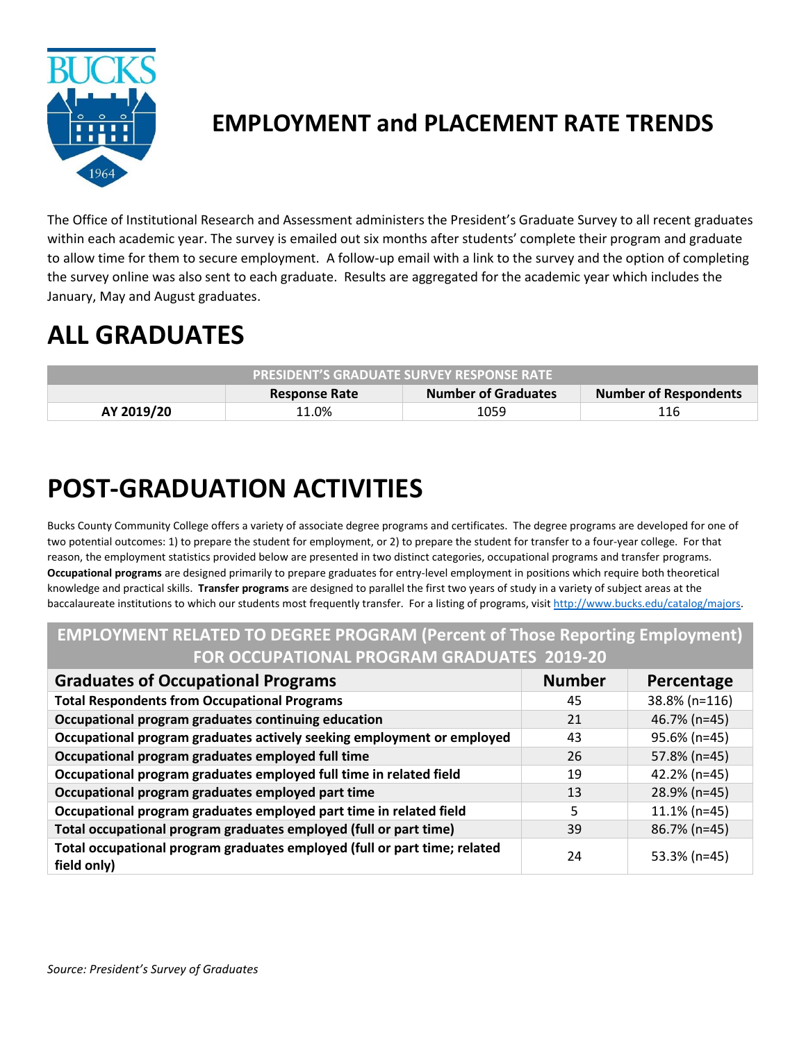

## **EMPLOYMENT and PLACEMENT RATE TRENDS**

The Office of Institutional Research and Assessment administers the President's Graduate Survey to all recent graduates within each academic year. The survey is emailed out six months after students' complete their program and graduate to allow time for them to secure employment. A follow-up email with a link to the survey and the option of completing the survey online was also sent to each graduate. Results are aggregated for the academic year which includes the January, May and August graduates.

# **ALL GRADUATES**

| <b>PRESIDENT'S GRADUATE SURVEY RESPONSE RATE</b> |                      |                     |                              |
|--------------------------------------------------|----------------------|---------------------|------------------------------|
|                                                  | <b>Response Rate</b> | Number of Graduates | <b>Number of Respondents</b> |
| AY 2019/20                                       | 11.0%                | 1059                | 116                          |

# **POST-GRADUATION ACTIVITIES**

Bucks County Community College offers a variety of associate degree programs and certificates. The degree programs are developed for one of two potential outcomes: 1) to prepare the student for employment, or 2) to prepare the student for transfer to a four-year college. For that reason, the employment statistics provided below are presented in two distinct categories, occupational programs and transfer programs. **Occupational programs** are designed primarily to prepare graduates for entry-level employment in positions which require both theoretical knowledge and practical skills. **Transfer programs** are designed to parallel the first two years of study in a variety of subject areas at the baccalaureate institutions to which our students most frequently transfer. For a listing of programs, visi[t http://www.bucks.edu/catalog/majors.](http://www.bucks.edu/catalog/majors)

#### **EMPLOYMENT RELATED TO DEGREE PROGRAM (Percent of Those Reporting Employment) FOR OCCUPATIONAL PROGRAM GRADUATES 2019-20**

| <b>Graduates of Occupational Programs</b>                                                | <b>Number</b> | Percentage      |
|------------------------------------------------------------------------------------------|---------------|-----------------|
| <b>Total Respondents from Occupational Programs</b>                                      | 45            | 38.8% (n=116)   |
| Occupational program graduates continuing education                                      | 21            | 46.7% (n=45)    |
| Occupational program graduates actively seeking employment or employed                   | 43            | 95.6% (n=45)    |
| Occupational program graduates employed full time                                        | 26            | 57.8% (n=45)    |
| Occupational program graduates employed full time in related field                       | 19            | 42.2% (n=45)    |
| Occupational program graduates employed part time                                        | 13            | 28.9% (n=45)    |
| Occupational program graduates employed part time in related field                       | 5             | $11.1\%$ (n=45) |
| Total occupational program graduates employed (full or part time)                        | 39            | 86.7% (n=45)    |
| Total occupational program graduates employed (full or part time; related<br>field only) | 24            | $53.3\%$ (n=45) |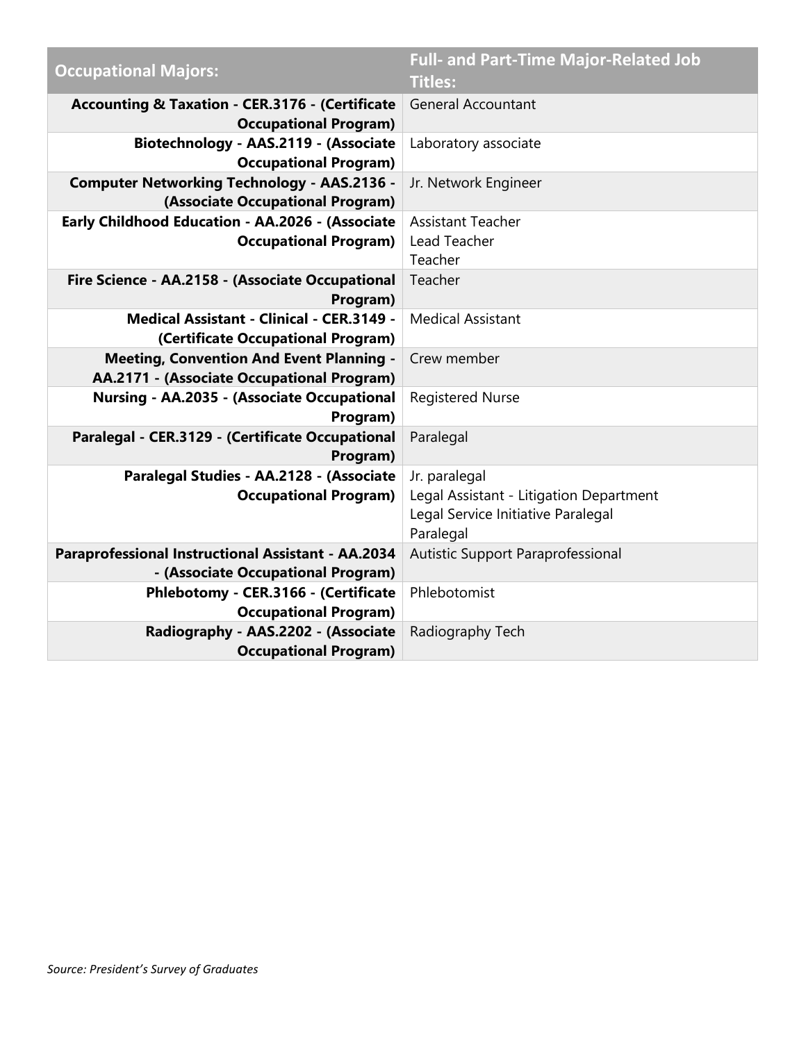| <b>Occupational Majors:</b>                                  | <b>Full- and Part-Time Major-Related Job</b><br><b>Titles:</b> |  |
|--------------------------------------------------------------|----------------------------------------------------------------|--|
| Accounting & Taxation - CER.3176 - (Certificate              | <b>General Accountant</b>                                      |  |
| <b>Occupational Program)</b>                                 |                                                                |  |
| Biotechnology - AAS.2119 - (Associate                        | Laboratory associate                                           |  |
| <b>Occupational Program)</b>                                 |                                                                |  |
| <b>Computer Networking Technology - AAS.2136 -</b>           | Jr. Network Engineer                                           |  |
| (Associate Occupational Program)                             |                                                                |  |
| Early Childhood Education - AA.2026 - (Associate             | <b>Assistant Teacher</b>                                       |  |
| <b>Occupational Program)</b>                                 | Lead Teacher                                                   |  |
|                                                              | Teacher                                                        |  |
| Fire Science - AA.2158 - (Associate Occupational             | Teacher                                                        |  |
| Program)<br><b>Medical Assistant - Clinical - CER.3149 -</b> | <b>Medical Assistant</b>                                       |  |
| (Certificate Occupational Program)                           |                                                                |  |
| <b>Meeting, Convention And Event Planning -</b>              | Crew member                                                    |  |
| AA.2171 - (Associate Occupational Program)                   |                                                                |  |
| Nursing - AA.2035 - (Associate Occupational                  | <b>Registered Nurse</b>                                        |  |
| Program)                                                     |                                                                |  |
| Paralegal - CER.3129 - (Certificate Occupational<br>Program) | Paralegal                                                      |  |
| Paralegal Studies - AA.2128 - (Associate                     | Jr. paralegal                                                  |  |
| <b>Occupational Program)</b>                                 | Legal Assistant - Litigation Department                        |  |
|                                                              | Legal Service Initiative Paralegal                             |  |
|                                                              | Paralegal                                                      |  |
| Paraprofessional Instructional Assistant - AA.2034           | Autistic Support Paraprofessional                              |  |
| - (Associate Occupational Program)                           |                                                                |  |
| Phlebotomy - CER.3166 - (Certificate                         | Phlebotomist                                                   |  |
| <b>Occupational Program)</b>                                 |                                                                |  |
| Radiography - AAS.2202 - (Associate                          | Radiography Tech                                               |  |
| <b>Occupational Program)</b>                                 |                                                                |  |